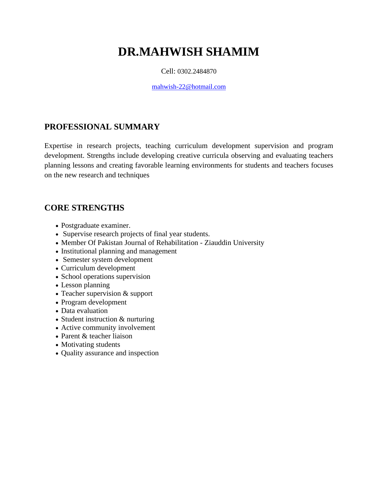# **DR.MAHWISH SHAMIM**

#### Cell: 0302.2484870

[mahwish-22@hotmail.com](mailto:mahwish-22@hotmail.com)

### **PROFESSIONAL SUMMARY**

Expertise in research projects, teaching curriculum development supervision and program development. Strengths include developing creative curricula observing and evaluating teachers planning lessons and creating favorable learning environments for students and teachers focuses on the new research and techniques

#### **CORE STRENGTHS**

- Postgraduate examiner.
- Supervise research projects of final year students.
- Member Of [Pakistan Journal of Rehabilitation -](https://www.google.com.pk/url?sa=t&rct=j&q=&esrc=s&source=web&cd=2&cad=rja&uact=8&ved=0ahUKEwiYlInH75PSAhXJXhoKHVdIC98QFgggMAE&url=http%3A%2F%2Fwww.zu.edu.pk%2Fjournal_rehabilitation_about.php&usg=AFQjCNG9GnoLxj2owGRzUgUfawQGQ46EPw&bvm=bv.147134024,d.d2s) Ziauddin University
- Institutional planning and management
- Semester system development
- Curriculum development
- School operations supervision
- Lesson planning
- Teacher supervision & support
- Program development
- Data evaluation
- Student instruction & nurturing
- Active community involvement
- Parent & teacher liaison
- Motivating students
- Quality assurance and inspection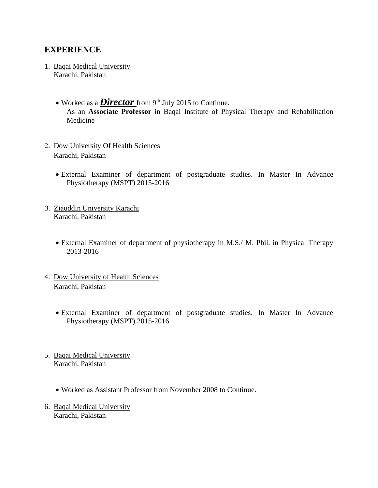#### **EXPERIENCE**

- 1. Baqai Medical University Karachi, Pakistan
	- Worked as a *Director* from 9<sup>th</sup> July 2015 to Continue. As an **Associate Professor** in Baqai Institute of Physical Therapy and Rehabilitation Medicine
- 2. Dow University Of Health Sciences Karachi, Pakistan
	- External Examiner of department of postgraduate studies. In Master In Advance Physiotherapy (MSPT) 2015-2016
- 3. Ziauddin University Karachi Karachi, Pakistan
	- External Examiner of department of physiotherapy in M.S./ M. Phil. in Physical Therapy 2013-2016
- 4. Dow University of Health Sciences Karachi, Pakistan
	- External Examiner of department of postgraduate studies. In Master In Advance Physiotherapy (MSPT) 2015-2016
- 5. Baqai Medical University Karachi, Pakistan
	- Worked as Assistant Professor from November 2008 to Continue.
- 6. Baqai Medical University Karachi, Pakistan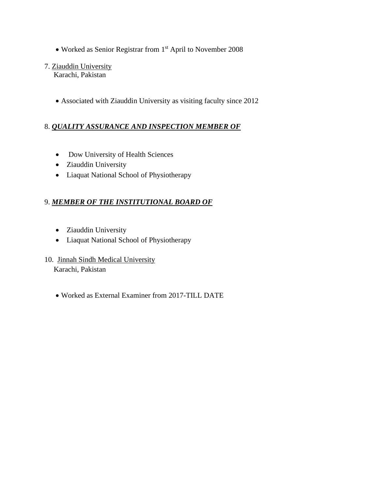- Worked as Senior Registrar from 1st April to November 2008
- 7. Ziauddin University

Karachi, Pakistan

• Associated with Ziauddin University as visiting faculty since 2012

#### 8. *[QUALITY ASSURANCE AND INSPECTION M](https://www.google.com/url?sa=t&rct=j&q=&esrc=s&source=web&cd=1&cad=rja&uact=8&ved=0ahUKEwjAiq-xgtDRAhWQJhoKHTaqBwUQFggfMAA&url=http%3A%2F%2Fwww.cement.org%2Ffor-concrete-books-learning%2Fmaterials-applications%2Fmasonry%2Fdesign%2Fquality-assurance-and-inspection&usg=AFQjCNHdgSGyxb8BvxoAZztg4bl0rMBi7w)EMBER OF*

- Dow University of Health Sciences
- Ziauddin University
- Liaquat National School of Physiotherapy

#### 9. *MEMBER OF THE INSTITUTIONAL BOARD OF*

- Ziauddin University
- Liaquat National School of Physiotherapy
- 10. Jinnah Sindh Medical University

Karachi, Pakistan

• Worked as External Examiner from 2017-TILL DATE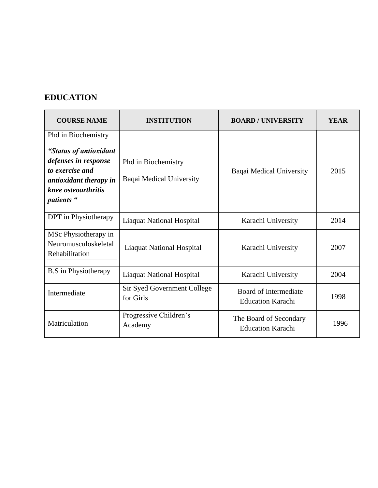## **EDUCATION**

| <b>COURSE NAME</b>                                                                                                                                      | <b>INSTITUTION</b>                              | <b>BOARD/UNIVERSITY</b>                            | <b>YEAR</b> |
|---------------------------------------------------------------------------------------------------------------------------------------------------------|-------------------------------------------------|----------------------------------------------------|-------------|
| Phd in Biochemistry<br>"Status of antioxidant<br>defenses in response<br>to exercise and<br>antioxidant therapy in<br>knee osteoarthritis<br>patients " | Phd in Biochemistry<br>Baqai Medical University | Baqai Medical University                           | 2015        |
| DPT in Physiotherapy                                                                                                                                    | <b>Liaquat National Hospital</b>                | Karachi University                                 | 2014        |
| MSc Physiotherapy in<br>Neuromusculoskeletal<br>Rehabilitation                                                                                          | <b>Liaquat National Hospital</b>                | Karachi University                                 | 2007        |
| <b>B.S</b> in Physiotherapy                                                                                                                             | <b>Liaquat National Hospital</b>                | Karachi University                                 | 2004        |
| Intermediate                                                                                                                                            | Sir Syed Government College<br>for Girls        | Board of Intermediate<br><b>Education Karachi</b>  | 1998        |
| Matriculation                                                                                                                                           | Progressive Children's<br>Academy               | The Board of Secondary<br><b>Education Karachi</b> | 1996        |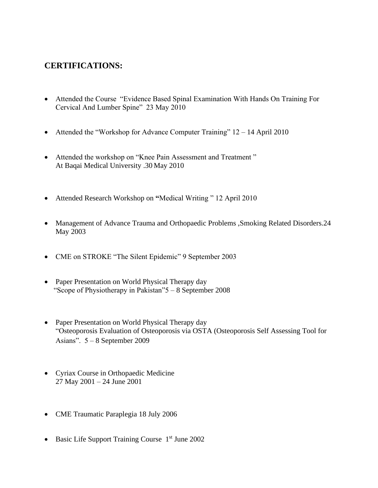### **CERTIFICATIONS:**

- Attended the Course "Evidence Based Spinal Examination With Hands On Training For Cervical And Lumber Spine" 23 May 2010
- Attended the "Workshop for Advance Computer Training" 12 14 April 2010
- Attended the workshop on "Knee Pain Assessment and Treatment " At Baqai Medical University .30 May 2010
- Attended Research Workshop on **"**Medical Writing " 12 April 2010
- Management of Advance Trauma and Orthopaedic Problems , Smoking Related Disorders. 24 May 2003
- CME on STROKE "The Silent Epidemic" 9 September 2003
- Paper Presentation on World Physical Therapy day "Scope of Physiotherapy in Pakistan"5 – 8 September 2008
- Paper Presentation on World Physical Therapy day "Osteoporosis Evaluation of Osteoporosis via OSTA (Osteoporosis Self Assessing Tool for Asians". 5 – 8 September 2009
- Cyriax Course in Orthopaedic Medicine 27 May 2001 – 24 June 2001
- CME Traumatic Paraplegia 18 July 2006
- Basic Life Support Training Course  $1<sup>st</sup>$  June 2002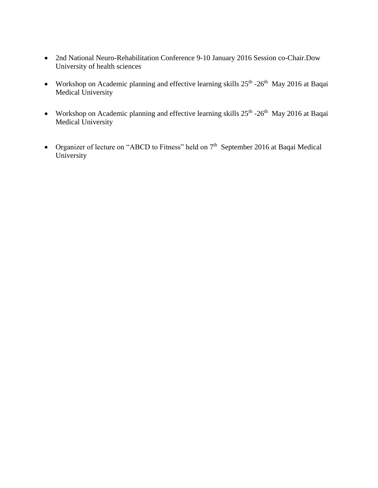- 2nd National Neuro-Rehabilitation Conference 9-10 January 2016 Session co-Chair.Dow University of health sciences
- Workshop on Academic planning and effective learning skills  $25<sup>th</sup>$  -26<sup>th</sup> May 2016 at Baqai Medical University
- Workshop on Academic planning and effective learning skills  $25<sup>th</sup>$  -26<sup>th</sup> May 2016 at Baqai Medical University
- Organizer of lecture on "ABCD to Fitness" held on  $7<sup>th</sup>$  September 2016 at Baqai Medical University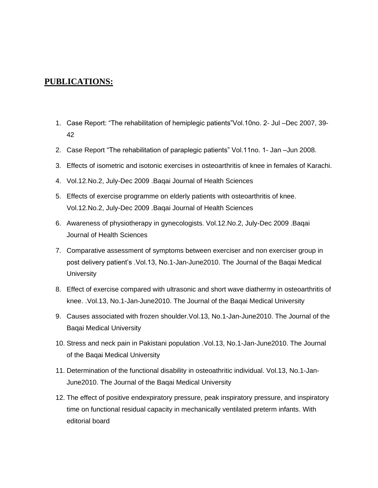#### **PUBLICATIONS:**

- 1. Case Report: "The rehabilitation of hemiplegic patients"Vol.10no. 2- Jul –Dec 2007, 39- 42
- 2. Case Report "The rehabilitation of paraplegic patients" Vol.11no. 1- Jan –Jun 2008.
- 3. Effects of isometric and isotonic exercises in osteoarthritis of knee in females of Karachi.
- 4. Vol.12.No.2, July-Dec 2009 .Baqai Journal of Health Sciences
- 5. Effects of exercise programme on elderly patients with osteoarthritis of knee. Vol.12.No.2, July-Dec 2009 .Baqai Journal of Health Sciences
- 6. Awareness of physiotherapy in gynecologists. Vol.12.No.2, July-Dec 2009 .Baqai Journal of Health Sciences
- 7. Comparative assessment of symptoms between exerciser and non exerciser group in post delivery patient's .Vol.13, No.1-Jan-June2010. The Journal of the Baqai Medical **University**
- 8. Effect of exercise compared with ultrasonic and short wave diathermy in osteoarthritis of knee. .Vol.13, No.1-Jan-June2010. The Journal of the Baqai Medical University
- 9. Causes associated with frozen shoulder.Vol.13, No.1-Jan-June2010. The Journal of the Baqai Medical University
- 10. Stress and neck pain in Pakistani population .Vol.13, No.1-Jan-June2010. The Journal of the Baqai Medical University
- 11. Determination of the functional disability in osteoathritic individual. Vol.13, No.1-Jan-June2010. The Journal of the Baqai Medical University
- 12. The effect of positive endexpiratory pressure, peak inspiratory pressure, and inspiratory time on functional residual capacity in mechanically ventilated preterm infants. With editorial board